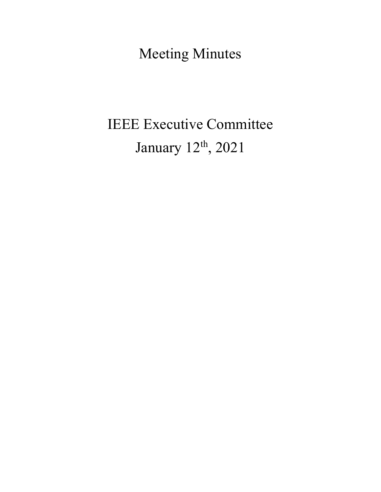Meeting Minutes

# IEEE Executive Committee January 12<sup>th</sup>, 2021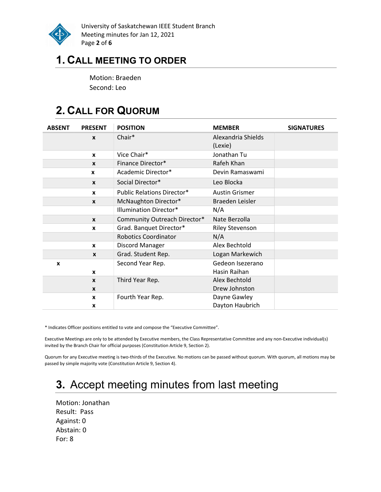

University of Saskatchewan IEEE Student Branch Meeting minutes for Jan 12, 2021 Page 2 of 6

## 1. CALL MEETING TO ORDER

Motion: Braeden Second: Leo

# 2. CALL FOR QUORUM

| <b>ABSENT</b> | <b>PRESENT</b>   | <b>POSITION</b>                   | <b>MEMBER</b>          | <b>SIGNATURES</b> |
|---------------|------------------|-----------------------------------|------------------------|-------------------|
|               | $\boldsymbol{x}$ | Chair*                            | Alexandria Shields     |                   |
|               |                  |                                   | (Lexie)                |                   |
|               | $\mathbf{x}$     | Vice Chair*                       | Jonathan Tu            |                   |
|               | $\mathbf{x}$     | Finance Director*                 | Rafeh Khan             |                   |
|               | X                | Academic Director*                | Devin Ramaswami        |                   |
|               | $\mathbf{x}$     | Social Director*                  | Leo Blocka             |                   |
|               | $\boldsymbol{x}$ | <b>Public Relations Director*</b> | <b>Austin Grismer</b>  |                   |
|               | $\boldsymbol{x}$ | McNaughton Director*              | Braeden Leisler        |                   |
|               |                  | <b>Illumination Director*</b>     | N/A                    |                   |
|               | $\mathbf{x}$     | Community Outreach Director*      | Nate Berzolla          |                   |
|               | X                | Grad. Banquet Director*           | <b>Riley Stevenson</b> |                   |
|               |                  | <b>Robotics Coordinator</b>       | N/A                    |                   |
|               | $\mathbf{x}$     | Discord Manager                   | Alex Bechtold          |                   |
|               | $\boldsymbol{x}$ | Grad. Student Rep.                | Logan Markewich        |                   |
| X             |                  | Second Year Rep.                  | Gedeon Isezerano       |                   |
|               | $\mathbf{x}$     |                                   | Hasin Raihan           |                   |
|               | $\mathbf{x}$     | Third Year Rep.                   | Alex Bechtold          |                   |
|               | $\boldsymbol{x}$ |                                   | Drew Johnston          |                   |
|               | $\mathbf{x}$     | Fourth Year Rep.                  | Dayne Gawley           |                   |
|               | X                |                                   | Dayton Haubrich        |                   |

\* Indicates Officer positions entitled to vote and compose the "Executive Committee".

Executive Meetings are only to be attended by Executive members, the Class Representative Committee and any non-Executive individual(s) invited by the Branch Chair for official purposes (Constitution Article 9, Section 2).

Quorum for any Executive meeting is two-thirds of the Executive. No motions can be passed without quorum. With quorum, all motions may be passed by simple majority vote (Constitution Article 9, Section 4).

# 3. Accept meeting minutes from last meeting

Motion: Jonathan Result: Pass Against: 0 Abstain: 0 For: 8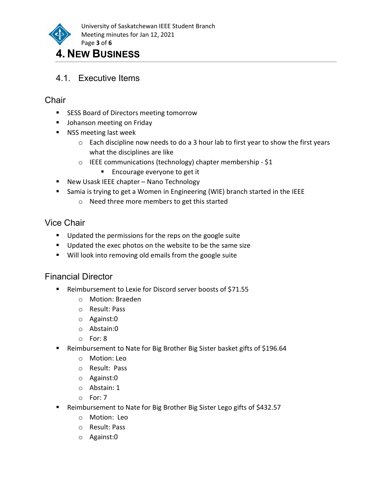

### 4. NEW BUSINESS

4.1. Executive Items

#### **Chair**

- **SESS Board of Directors meeting tomorrow**
- **Johanson meeting on Friday**
- **NSS meeting last week** 
	- $\circ$  Each discipline now needs to do a 3 hour lab to first year to show the first years what the disciplines are like
	- o IEEE communications (technology) chapter membership \$1
		- **Encourage everyone to get it**
- New Usask IEEE chapter Nano Technology
- Samia is trying to get a Women in Engineering (WIE) branch started in the IEEE
	- o Need three more members to get this started

#### Vice Chair

- **Updated the permissions for the reps on the google suite**
- Updated the exec photos on the website to be the same size
- **Will look into removing old emails from the google suite**

#### Financial Director

- Reimbursement to Lexie for Discord server boosts of \$71.55
	- o Motion: Braeden
	- o Result: Pass
	- o Against:0
	- o Abstain:0
	- o For: 8
- Reimbursement to Nate for Big Brother Big Sister basket gifts of \$196.64
	- o Motion: Leo
	- o Result: Pass
	- o Against:0
	- o Abstain: 1
	- o For: 7
- Reimbursement to Nate for Big Brother Big Sister Lego gifts of \$432.57
	- o Motion: Leo
	- o Result: Pass
	- o Against:0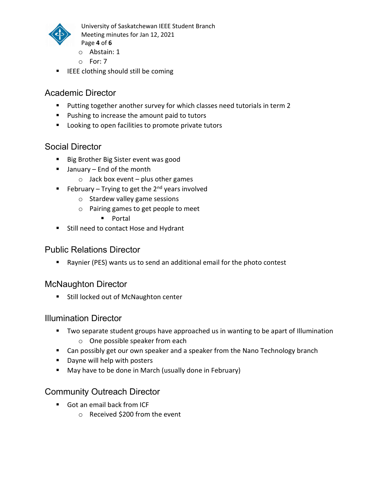

University of Saskatchewan IEEE Student Branch Meeting minutes for Jan 12, 2021 Page 4 of 6

- o Abstain: 1
- o For: 7
- **IFEE clothing should still be coming**

#### Academic Director

- **Putting together another survey for which classes need tutorials in term 2**
- **Pushing to increase the amount paid to tutors**
- **Looking to open facilities to promote private tutors**

#### Social Director

- Big Brother Big Sister event was good
- January End of the month
	- $\circ$  Jack box event plus other games
- February Trying to get the  $2^{nd}$  years involved
	- o Stardew valley game sessions
	- o Pairing games to get people to meet
		- **Portal**
- **Still need to contact Hose and Hydrant**

#### Public Relations Director

Raynier (PES) wants us to send an additional email for the photo contest

#### McNaughton Director

**Still locked out of McNaughton center** 

#### Illumination Director

- **TWO separate student groups have approached us in wanting to be apart of Illumination** 
	- o One possible speaker from each
- Can possibly get our own speaker and a speaker from the Nano Technology branch
- **Dayne will help with posters**
- **May have to be done in March (usually done in February)**

#### Community Outreach Director

- Got an email back from ICF
	- o Received \$200 from the event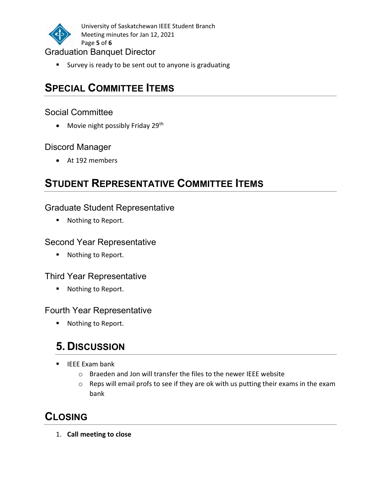

University of Saskatchewan IEEE Student Branch Meeting minutes for Jan 12, 2021 Page 5 of 6

#### Graduation Banquet Director

**Survey is ready to be sent out to anyone is graduating** 

# SPECIAL COMMITTEE ITEMS

#### Social Committee

• Movie night possibly Friday 29<sup>th</sup>

#### Discord Manager

At 192 members

# STUDENT REPRESENTATIVE COMMITTEE ITEMS

#### Graduate Student Representative

**Nothing to Report.** 

#### Second Year Representative

■ Nothing to Report.

#### Third Year Representative

■ Nothing to Report.

#### Fourth Year Representative

■ Nothing to Report.

# 5. DISCUSSION

- IEEE Exam bank
	- o Braeden and Jon will transfer the files to the newer IEEE website
	- o Reps will email profs to see if they are ok with us putting their exams in the exam bank

### CLOSING

1. Call meeting to close